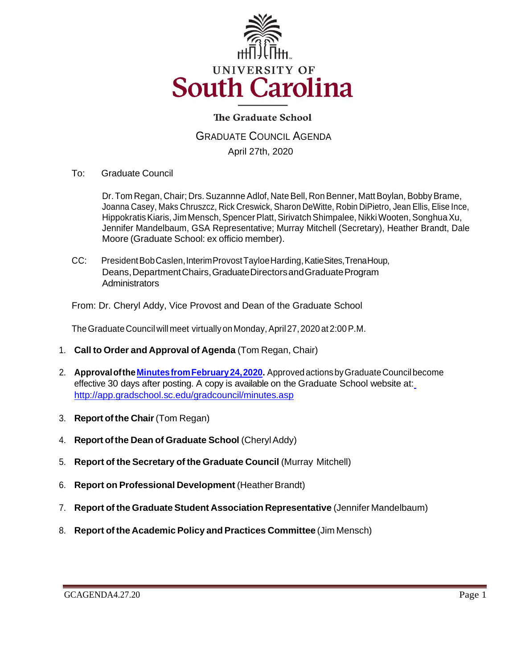

# **The Graduate School**

GRADUATE COUNCIL AGENDA April 27th, 2020

To: Graduate Council

Dr. Tom Regan, Chair; Drs. Suzannne Adlof, Nate Bell, Ron Benner, Matt Boylan, Bobby Brame, Joanna Casey, Maks Chruszcz, Rick Creswick, Sharon DeWitte, Robin DiPietro, Jean Ellis, Elise Ince, Hippokratis Kiaris, Jim Mensch, Spencer Platt, Sirivatch Shimpalee, Nikki Wooten, Songhua Xu, Jennifer Mandelbaum, GSA Representative; Murray Mitchell (Secretary), Heather Brandt, Dale Moore (Graduate School: ex officio member).

CC: PresidentBobCaslen,InterimProvostTayloeHarding,KatieSites,TrenaHoup, Deans,DepartmentChairs,GraduateDirectorsandGraduateProgram **Administrators** 

From: Dr. Cheryl Addy, Vice Provost and Dean of the Graduate School

The Graduate Council will meet virtually on Monday, April 27, 2020 at 2:00 P.M.

- 1. **Call to Order and Approval of Agenda** (Tom Regan, Chair)
- 2. **Approval of the Minutes from February 24, 2020.** Approved actions by Graduate Council become effective 30 days after posting. A copy is available on the Graduate School website at[:](http://app.gradschool.sc.edu/gradcouncil/minutes.asp) <http://app.gradschool.sc.edu/gradcouncil/minutes.asp>
- 3. **Report ofthe Chair**(Tom Regan)
- 4. **Report ofthe Dean of Graduate School** (CherylAddy)
- 5. **Report of the Secretary of the Graduate Council** (Murray Mitchell)
- 6. **Report on Professional Development** (HeatherBrandt)
- 7. **Report of the Graduate Student Association Representative** (Jennifer Mandelbaum)
- 8. **Report of the AcademicPolicy and Practices Committee** (Jim Mensch)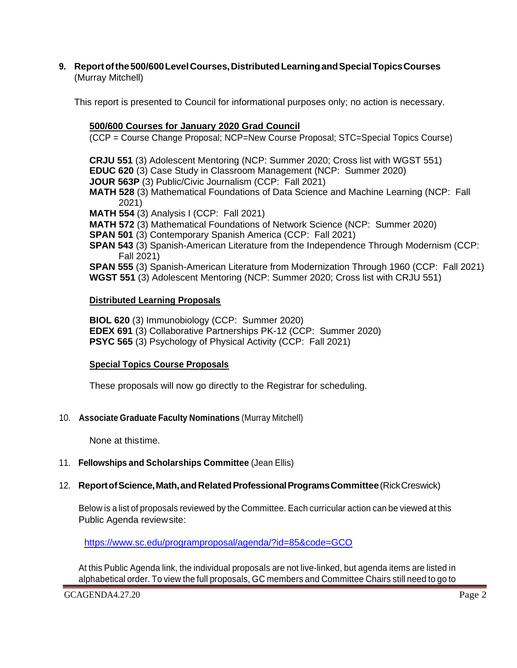**9. Reportofthe500/600LevelCourses,DistributedLearningandSpecialTopicsCourses** (Murray Mitchell)

This report is presented to Council for informational purposes only; no action is necessary.

### **500/600 Courses for January 2020 Grad Council**

(CCP = Course Change Proposal; NCP=New Course Proposal; STC=Special Topics Course)

**CRJU 551** (3) Adolescent Mentoring (NCP: Summer 2020; Cross list with WGST 551) **EDUC 620** (3) Case Study in Classroom Management (NCP: Summer 2020)

**JOUR 563P** (3) Public/Civic Journalism (CCP: Fall 2021)

**MATH 528** (3) Mathematical Foundations of Data Science and Machine Learning (NCP: Fall 2021)

**MATH 554** (3) Analysis I (CCP: Fall 2021)

**MATH 572** (3) Mathematical Foundations of Network Science (NCP: Summer 2020)

**SPAN 501** (3) Contemporary Spanish America (CCP: Fall 2021)

**SPAN 543** (3) Spanish-American Literature from the Independence Through Modernism (CCP: Fall 2021)

**SPAN 555** (3) Spanish-American Literature from Modernization Through 1960 (CCP: Fall 2021)

**WGST 551** (3) Adolescent Mentoring (NCP: Summer 2020; Cross list with CRJU 551)

### **Distributed Learning Proposals**

**BIOL 620** (3) Immunobiology (CCP: Summer 2020) **EDEX 691** (3) Collaborative Partnerships PK-12 (CCP: Summer 2020) **PSYC 565** (3) Psychology of Physical Activity (CCP: Fall 2021)

## **Special Topics Course Proposals**

These proposals will now go directly to the Registrar for scheduling.

10. **Associate Graduate Faculty Nominations** (Murray Mitchell)

None at thistime.

## 11. **Fellowships and Scholarships Committee** (Jean Ellis)

## 12. **ReportofScience,Math,andRelatedProfessionalProgramsCommittee**(RickCreswick)

Below is a list of proposals reviewed by the Committee. Each curricular action can be viewed at this Public Agenda reviewsite:

<https://www.sc.edu/programproposal/agenda/?id=85&code=GCO>

At this Public Agenda link, the individual proposals are not live-linked, but agenda items are listed in alphabetical order. To view the full proposals, GC members and Committee Chairs still need to go to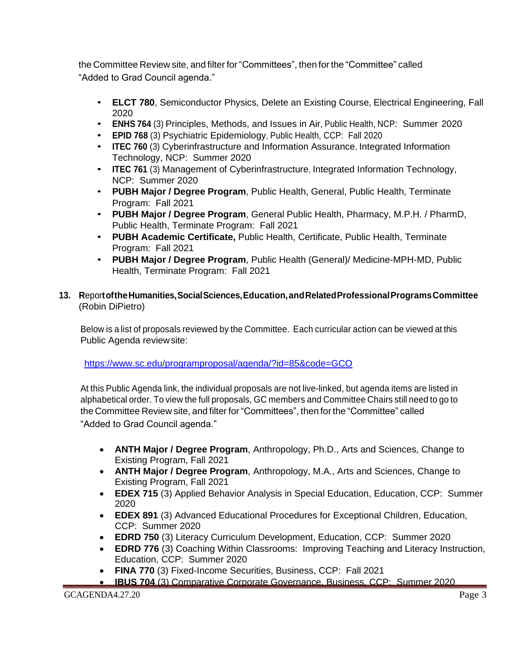the Committee Review site, and filter for "Committees", then forthe "Committee" called "Added to Grad Council agenda."

- **ELCT 780**, Semiconductor Physics, Delete an Existing Course, Electrical Engineering, Fall 2020
- **ENHS <sup>764</sup>**(3) Principles, Methods, and Issues in Air, Public Health, NCP: Summer 2020
- **EPID 768** (3) Psychiatric Epidemiology, Public Health, CCP: Fall 2020
- **ITEC 760** (3) Cyberinfrastructure and Information Assurance, Integrated Information Technology, NCP: Summer 2020
- **ITEC 761** (3) Management of Cyberinfrastructure, Integrated Information Technology, NCP: Summer 2020
- **PUBH Major / Degree Program**, Public Health, General, Public Health, Terminate Program: Fall 2021
- **PUBH Major / Degree Program**, General Public Health, Pharmacy, M.P.H. / PharmD, Public Health, Terminate Program: Fall 2021
- **PUBH Academic Certificate,** Public Health, Certificate, Public Health, Terminate Program: Fall 2021
- **PUBH Major / Degree Program**, Public Health (General)/ Medicine-MPH-MD, Public Health, Terminate Program: Fall 2021
- **13. R**epor**toftheHumanities,SocialSciences,Education,andRelatedProfessionalProgramsCommittee** (Robin DiPietro)

Below is a list of proposals reviewed by the Committee. Each curricular action can be viewed at this Public Agenda reviewsite:

<https://www.sc.edu/programproposal/agenda/?id=85&code=GCO>

At this Public Agenda link, the individual proposals are not live-linked, but agenda items are listed in alphabetical order. To view the full proposals, GC members and Committee Chairs still need to go to the Committee Review site, and filter for "Committees", then forthe "Committee" called "Added to Grad Council agenda."

- **ANTH Major / Degree Program**, Anthropology, Ph.D., Arts and Sciences, Change to Existing Program, Fall 2021
- **ANTH Major / Degree Program**, Anthropology, M.A., Arts and Sciences, Change to Existing Program, Fall 2021
- **EDEX 715** (3) Applied Behavior Analysis in Special Education, Education, CCP: Summer 2020
- **EDEX 891** (3) Advanced Educational Procedures for Exceptional Children, Education, CCP: Summer 2020
- **EDRD 750** (3) Literacy Curriculum Development, Education, CCP: Summer 2020
- **EDRD 776** (3) Coaching Within Classrooms: Improving Teaching and Literacy Instruction, Education, CCP: Summer 2020
- **FINA 770** (3) Fixed-Income Securities, Business, CCP: Fall 2021
- **IBUS 704** (3) Comparative Corporate Governance, Business, CCP: Summer 2020